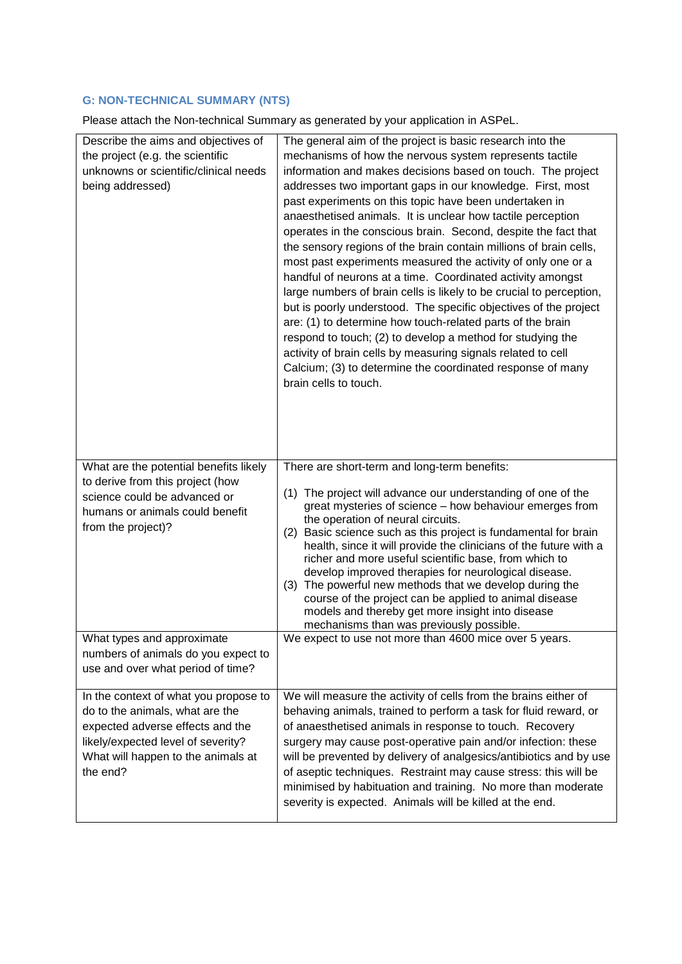## **G: NON-TECHNICAL SUMMARY (NTS)**

Please attach the Non-technical Summary as generated by your application in ASPeL.

| Describe the aims and objectives of<br>the project (e.g. the scientific<br>unknowns or scientific/clinical needs<br>being addressed) | The general aim of the project is basic research into the<br>mechanisms of how the nervous system represents tactile<br>information and makes decisions based on touch. The project<br>addresses two important gaps in our knowledge. First, most<br>past experiments on this topic have been undertaken in<br>anaesthetised animals. It is unclear how tactile perception<br>operates in the conscious brain. Second, despite the fact that<br>the sensory regions of the brain contain millions of brain cells,<br>most past experiments measured the activity of only one or a<br>handful of neurons at a time. Coordinated activity amongst<br>large numbers of brain cells is likely to be crucial to perception,<br>but is poorly understood. The specific objectives of the project<br>are: (1) to determine how touch-related parts of the brain<br>respond to touch; (2) to develop a method for studying the<br>activity of brain cells by measuring signals related to cell<br>Calcium; (3) to determine the coordinated response of many<br>brain cells to touch. |
|--------------------------------------------------------------------------------------------------------------------------------------|-------------------------------------------------------------------------------------------------------------------------------------------------------------------------------------------------------------------------------------------------------------------------------------------------------------------------------------------------------------------------------------------------------------------------------------------------------------------------------------------------------------------------------------------------------------------------------------------------------------------------------------------------------------------------------------------------------------------------------------------------------------------------------------------------------------------------------------------------------------------------------------------------------------------------------------------------------------------------------------------------------------------------------------------------------------------------------|
| What are the potential benefits likely                                                                                               | There are short-term and long-term benefits:                                                                                                                                                                                                                                                                                                                                                                                                                                                                                                                                                                                                                                                                                                                                                                                                                                                                                                                                                                                                                                  |
| to derive from this project (how                                                                                                     |                                                                                                                                                                                                                                                                                                                                                                                                                                                                                                                                                                                                                                                                                                                                                                                                                                                                                                                                                                                                                                                                               |
| science could be advanced or                                                                                                         | (1) The project will advance our understanding of one of the<br>great mysteries of science - how behaviour emerges from                                                                                                                                                                                                                                                                                                                                                                                                                                                                                                                                                                                                                                                                                                                                                                                                                                                                                                                                                       |
| humans or animals could benefit                                                                                                      | the operation of neural circuits.                                                                                                                                                                                                                                                                                                                                                                                                                                                                                                                                                                                                                                                                                                                                                                                                                                                                                                                                                                                                                                             |
| from the project)?                                                                                                                   | Basic science such as this project is fundamental for brain<br>(2)                                                                                                                                                                                                                                                                                                                                                                                                                                                                                                                                                                                                                                                                                                                                                                                                                                                                                                                                                                                                            |
|                                                                                                                                      | health, since it will provide the clinicians of the future with a                                                                                                                                                                                                                                                                                                                                                                                                                                                                                                                                                                                                                                                                                                                                                                                                                                                                                                                                                                                                             |
|                                                                                                                                      | richer and more useful scientific base, from which to<br>develop improved therapies for neurological disease.                                                                                                                                                                                                                                                                                                                                                                                                                                                                                                                                                                                                                                                                                                                                                                                                                                                                                                                                                                 |
|                                                                                                                                      | (3) The powerful new methods that we develop during the                                                                                                                                                                                                                                                                                                                                                                                                                                                                                                                                                                                                                                                                                                                                                                                                                                                                                                                                                                                                                       |
|                                                                                                                                      | course of the project can be applied to animal disease                                                                                                                                                                                                                                                                                                                                                                                                                                                                                                                                                                                                                                                                                                                                                                                                                                                                                                                                                                                                                        |
|                                                                                                                                      | models and thereby get more insight into disease<br>mechanisms than was previously possible.                                                                                                                                                                                                                                                                                                                                                                                                                                                                                                                                                                                                                                                                                                                                                                                                                                                                                                                                                                                  |
| What types and approximate                                                                                                           | We expect to use not more than 4600 mice over 5 years.                                                                                                                                                                                                                                                                                                                                                                                                                                                                                                                                                                                                                                                                                                                                                                                                                                                                                                                                                                                                                        |
| numbers of animals do you expect to                                                                                                  |                                                                                                                                                                                                                                                                                                                                                                                                                                                                                                                                                                                                                                                                                                                                                                                                                                                                                                                                                                                                                                                                               |
| use and over what period of time?                                                                                                    |                                                                                                                                                                                                                                                                                                                                                                                                                                                                                                                                                                                                                                                                                                                                                                                                                                                                                                                                                                                                                                                                               |
| In the context of what you propose to                                                                                                | We will measure the activity of cells from the brains either of                                                                                                                                                                                                                                                                                                                                                                                                                                                                                                                                                                                                                                                                                                                                                                                                                                                                                                                                                                                                               |
| do to the animals, what are the                                                                                                      | behaving animals, trained to perform a task for fluid reward, or                                                                                                                                                                                                                                                                                                                                                                                                                                                                                                                                                                                                                                                                                                                                                                                                                                                                                                                                                                                                              |
| expected adverse effects and the                                                                                                     | of anaesthetised animals in response to touch. Recovery                                                                                                                                                                                                                                                                                                                                                                                                                                                                                                                                                                                                                                                                                                                                                                                                                                                                                                                                                                                                                       |
| likely/expected level of severity?                                                                                                   | surgery may cause post-operative pain and/or infection: these                                                                                                                                                                                                                                                                                                                                                                                                                                                                                                                                                                                                                                                                                                                                                                                                                                                                                                                                                                                                                 |
| What will happen to the animals at<br>the end?                                                                                       | will be prevented by delivery of analgesics/antibiotics and by use<br>of aseptic techniques. Restraint may cause stress: this will be                                                                                                                                                                                                                                                                                                                                                                                                                                                                                                                                                                                                                                                                                                                                                                                                                                                                                                                                         |
|                                                                                                                                      | minimised by habituation and training. No more than moderate                                                                                                                                                                                                                                                                                                                                                                                                                                                                                                                                                                                                                                                                                                                                                                                                                                                                                                                                                                                                                  |
|                                                                                                                                      | severity is expected. Animals will be killed at the end.                                                                                                                                                                                                                                                                                                                                                                                                                                                                                                                                                                                                                                                                                                                                                                                                                                                                                                                                                                                                                      |
|                                                                                                                                      |                                                                                                                                                                                                                                                                                                                                                                                                                                                                                                                                                                                                                                                                                                                                                                                                                                                                                                                                                                                                                                                                               |